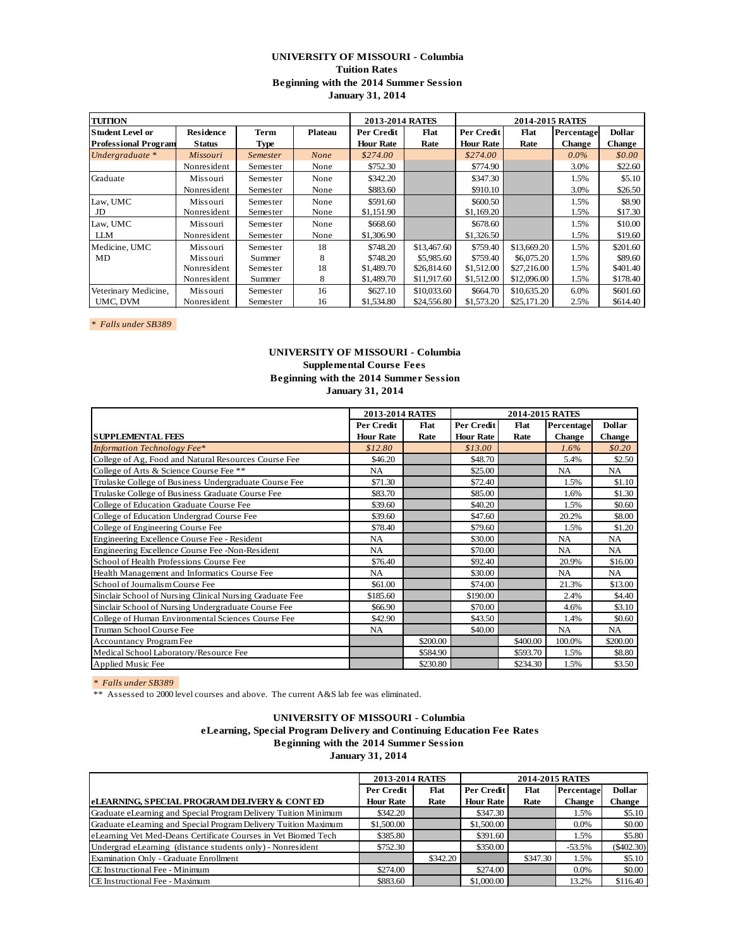# **UNIVERSITY OF MISSOURI - Columbia Tuition Rates Beginning with the 2014 Summer Session January 31, 2014**

| <b>TUITION</b>              |                  |                 |             | 2013-2014 RATES  |             |                  | 2014-2015 RATES |            |               |
|-----------------------------|------------------|-----------------|-------------|------------------|-------------|------------------|-----------------|------------|---------------|
| Student Level or            | <b>Residence</b> | <b>Term</b>     | Plateau     | Per Credit       | Flat        | Per Credit       | Flat            | Percentage | <b>Dollar</b> |
| <b>Professional Program</b> | <b>Status</b>    | Type            |             | <b>Hour Rate</b> | Rate        | <b>Hour Rate</b> | Rate            | Change     | <b>Change</b> |
| Undergraduate *             | Missouri         | <b>Semester</b> | <b>None</b> | \$274.00         |             | \$274.00         |                 | $0.0\%$    | \$0.00        |
|                             | Nonresident      | Semester        | None        | \$752.30         |             | \$774.90         |                 | 3.0%       | \$22.60       |
| Graduate                    | Missouri         | Semester        | None        | \$342.20         |             | \$347.30         |                 | 1.5%       | \$5.10        |
|                             | Nonresident      | Semester        | None        | \$883.60         |             | \$910.10         |                 | 3.0%       | \$26.50       |
| Law, UMC                    | Missouri         | Semester        | None        | \$591.60         |             | \$600.50         |                 | 1.5%       | \$8.90        |
| JD                          | Nonresident      | Semester        | None        | \$1,151.90       |             | \$1,169.20       |                 | 1.5%       | \$17.30       |
| Law, UMC                    | Missouri         | Semester        | None        | \$668.60         |             | \$678.60         |                 | 1.5%       | \$10.00       |
| LLМ                         | Nonresident      | Semester        | None        | \$1,306.90       |             | \$1,326.50       |                 | 1.5%       | \$19.60       |
| Medicine, UMC               | Missouri         | Semester        | 18          | \$748.20         | \$13,467.60 | \$759.40         | \$13,669.20     | 1.5%       | \$201.60      |
| MD                          | Missouri         | Summer          | 8           | \$748.20         | \$5,985.60  | \$759.40         | \$6,075.20      | 1.5%       | \$89.60       |
|                             | Nonresident      | Semester        | 18          | \$1,489.70       | \$26,814.60 | \$1,512.00       | \$27,216.00     | 1.5%       | \$401.40      |
|                             | Nonresident      | Summer          | 8           | \$1,489.70       | \$11,917.60 | \$1,512.00       | \$12,096.00     | 1.5%       | \$178.40      |
| Veterinary Medicine,        | Missouri         | Semester        | 16          | \$627.10         | \$10,033.60 | \$664.70         | \$10,635.20     | 6.0%       | \$601.60      |
| UMC, DVM                    | Nonresident      | Semester        | 16          | \$1,534.80       | \$24,556.80 | \$1,573.20       | \$25,171.20     | 2.5%       | \$614.40      |

*\* Falls under SB389* 

### **UNIVERSITY OF MISSOURI - Columbia Supplemental Course Fees Beginning with the 2014 Summer Session January 31, 2014**

|                                                          | 2013-2014 RATES  |          |                  | 2014-2015 RATES |               |               |
|----------------------------------------------------------|------------------|----------|------------------|-----------------|---------------|---------------|
|                                                          | Per Credit       | Flat     | Per Credit       | Flat            | Percentage    | <b>Dollar</b> |
| <b>SUPPLEMENTAL FEES</b>                                 | <b>Hour Rate</b> | Rate     | <b>Hour Rate</b> | Rate            | <b>Change</b> | <b>Change</b> |
| <b>Information Technology Fee*</b>                       | \$12.80          |          | \$13.00          |                 | 1.6%          | \$0.20\$      |
| College of Ag, Food and Natural Resources Course Fee     | \$46.20          |          | \$48.70          |                 | 5.4%          | \$2.50        |
| College of Arts & Science Course Fee **                  | NA.              |          | \$25.00          |                 | <b>NA</b>     | NA            |
| Trulaske College of Business Undergraduate Course Fee    | \$71.30          |          | \$72.40          |                 | 1.5%          | \$1.10        |
| Trulaske College of Business Graduate Course Fee         | \$83.70          |          | \$85.00          |                 | 1.6%          | \$1.30        |
| College of Education Graduate Course Fee                 | \$39.60          |          | \$40.20          |                 | 1.5%          | \$0.60        |
| College of Education Undergrad Course Fee                | \$39.60          |          | \$47.60          |                 | 20.2%         | \$8.00        |
| College of Engineering Course Fee                        | \$78.40          |          | \$79.60          |                 | 1.5%          | \$1.20        |
| Engineering Excellence Course Fee - Resident             | NA.              |          | \$30.00          |                 | <b>NA</b>     | <b>NA</b>     |
| Engineering Excellence Course Fee -Non-Resident          | <b>NA</b>        |          | \$70.00          |                 | <b>NA</b>     | <b>NA</b>     |
| School of Health Professions Course Fee                  | \$76.40          |          | \$92.40          |                 | 20.9%         | \$16.00       |
| Health Management and Informatics Course Fee             | <b>NA</b>        |          | \$30.00          |                 | <b>NA</b>     | <b>NA</b>     |
| School of Journalism Course Fee                          | \$61.00          |          | \$74.00          |                 | 21.3%         | \$13.00       |
| Sinclair School of Nursing Clinical Nursing Graduate Fee | \$185.60         |          | \$190.00         |                 | 2.4%          | \$4.40        |
| Sinclair School of Nursing Undergraduate Course Fee      | \$66.90          |          | \$70.00          |                 | 4.6%          | \$3.10        |
| College of Human Environmental Sciences Course Fee       | \$42.90          |          | \$43.50          |                 | 1.4%          | \$0.60        |
| Truman School Course Fee                                 | <b>NA</b>        |          | \$40.00          |                 | <b>NA</b>     | <b>NA</b>     |
| <b>Accountancy Program Fee</b>                           |                  | \$200.00 |                  | \$400.00        | 100.0%        | \$200.00      |
| Medical School Laboratory/Resource Fee                   |                  | \$584.90 |                  | \$593.70        | 1.5%          | \$8.80        |
| Applied Music Fee                                        |                  | \$230.80 |                  | \$234.30        | 1.5%          | \$3.50        |

*\* Falls under SB389* 

\*\* Assessed to 2000 level courses and above. The current A&S lab fee was eliminated.

#### **UNIVERSITY OF MISSOURI - Columbia**

 **eLearning, Special Program Delivery and Continuing Education Fee Rates**

**Beginning with the 2014 Summer Session**

**January 31, 2014**

|                                                                 | 2013-2014 RATES  |          |                  | 2014-2015 RATES |               |               |
|-----------------------------------------------------------------|------------------|----------|------------------|-----------------|---------------|---------------|
|                                                                 | Per Credit       | Flat     | Per Credit       | Flat            | Percentage    | <b>Dollar</b> |
| <b>eLEARNING, SPECIAL PROGRAM DELIVERY &amp; CONT ED</b>        | <b>Hour Rate</b> | Rate     | <b>Hour Rate</b> | Rate            | <b>Change</b> | Change        |
| Graduate eLearning and Special Program Delivery Tuition Minimum | \$342.20         |          | \$347.30         |                 | 1.5%          | \$5.10        |
| Graduate eLearning and Special Program Delivery Tuition Maximum | \$1,500.00       |          | \$1,500.00       |                 | $0.0\%$       | \$0.00        |
| eLearning Vet Med-Deans Certificate Courses in Vet Biomed Tech  | \$385.80         |          | \$391.60         |                 | 1.5%          | \$5.80        |
| Undergrad eLearning (distance students only) - Nonresident      | \$752.30         |          | \$350.00         |                 | $-53.5%$      | $(\$402.30)$  |
| Examination Only - Graduate Enrollment                          |                  | \$342.20 |                  | \$347.30        | 1.5%          | \$5.10        |
| CE Instructional Fee - Minimum                                  | \$274.00         |          | \$274.00         |                 | 0.0%          | \$0.00        |
| CE Instructional Fee - Maximum                                  | \$883.60         |          | \$1,000.00       |                 | 13.2%         | \$116.40      |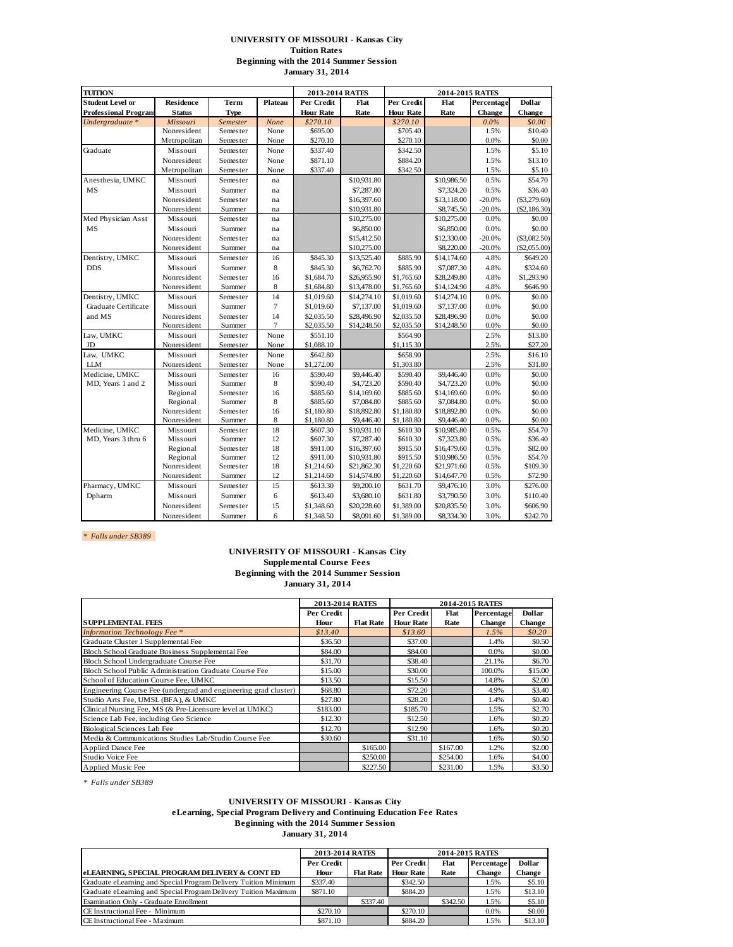#### **UNIVERSITY OF MISSOURI - Kansas City Tuition Rates Beginning with the 2014 Summer Session January 31, 2014**

| <b>TUITION</b>              |                         |                    |             | 2013-2014 RATES          |                            |                          | 2014-2015 RATES            |              |                     |
|-----------------------------|-------------------------|--------------------|-------------|--------------------------|----------------------------|--------------------------|----------------------------|--------------|---------------------|
| <b>Student Level or</b>     | <b>Residence</b>        | <b>Term</b>        | Plateau     | Per Credit               | Flat                       | Per Credit               | Flat                       | Percentage   | <b>Dollar</b>       |
| <b>Professional Program</b> | <b>Status</b>           | <b>Type</b>        |             | <b>Hour Rate</b>         | Rate                       | <b>Hour Rate</b>         | Rate                       | Change       | Change              |
| Undergraduate *             | Missouri                | Semester           | None        | \$270.10                 |                            | \$270.10                 |                            | 0.0%         | \$0.00              |
|                             | Nonresident             | Semester           | None        | \$695.00                 |                            | \$705.40                 |                            | 1.5%         | \$10.40             |
|                             | Metropolitan            | Semester           | None        | \$270.10                 |                            | \$270.10                 |                            | 0.0%         | \$0.00              |
| Graduate                    | Missouri                | Semester           | None        | \$337.40                 |                            | \$342.50                 |                            | 1.5%         | \$5.10              |
|                             | Nonresident             | Semester           | None        | \$871.10                 |                            | \$884.20                 |                            | 1.5%         | \$13.10             |
|                             | Metropolitan            | Semester           | None        | \$337.40                 |                            | \$342.50                 |                            | 1.5%         | \$5.10              |
| Anesthesia, UMKC            | Missouri                | Semester           | na          |                          | \$10,931.80                |                          | \$10,986.50                | 0.5%         | \$54.70             |
| MS                          | Missouri                | Summer             | na          |                          | \$7,287.80                 |                          | \$7,324.20                 | 0.5%         | \$36.40             |
|                             | Nonresident             | Semester           | na          |                          | \$16,397.60                |                          | \$13,118.00                | $-20.0%$     | (\$3,279.60)        |
|                             | Nonresident             | Summer             | na          |                          | \$10,931.80                |                          | \$8,745.50                 | $-20.0%$     | (\$2,186.30)        |
| Med Physician Asst          | Missouri                | Semester           | na          |                          | \$10,275.00                |                          | \$10,275.00                | 0.0%         | \$0.00              |
| MS                          | Missouri                | Summer             | na          |                          | \$6,850.00                 |                          | \$6,850.00                 | 0.0%         | \$0.00              |
|                             | Nonresident             | Semester           | na          |                          | \$15,412.50                |                          | \$12,330.00                | $-20.0%$     | (\$3,082.50)        |
|                             | Nonresident             | Summer             | na          |                          | \$10,275.00                |                          | \$8,220.00                 | $-20.0%$     | $(\$2,055.00)$      |
| Dentistry, UMKC             | Missouri                | Semester           | 16          | \$845.30                 | \$13,525.40                | \$885.90                 | \$14,174.60                | 4.8%         | \$649.20            |
| <b>DDS</b>                  | Missouri                | Summer             | 8           | \$845.30                 | \$6,762.70                 | \$885.90                 | \$7,087.30                 | 4.8%         | \$324.60            |
|                             | Nonresident             | Semester           | 16          | \$1,684.70               | \$26,955.90                | \$1,765.60               | \$28,249.80                | 4.8%         | \$1,293.90          |
|                             | Nonresident             | Summer             | $\,$ 8 $\,$ | \$1,684.80               | \$13,478.00                | \$1,765.60               | \$14,124.90                | 4.8%         | \$646.90            |
| Dentistry, UMKC             | Missouri                | Semester           | 14          | \$1,019.60               | \$14,274.10                | \$1,019.60               | \$14,274.10                | 0.0%         | \$0.00              |
| Graduate Certificate        | Missouri                | Summer             | $\tau$      | \$1,019.60               | \$7,137.00                 | \$1,019.60               | \$7,137.00                 | 0.0%         | \$0.00              |
| and MS                      | Nonresident             | Semester           | 14          | \$2,035.50               | \$28,496.90                | \$2,035.50               | \$28,496.90                | 0.0%         | \$0.00              |
|                             | Nonresident             | Summer             | 7           | \$2,035.50               | \$14,248.50                | \$2,035.50               | \$14,248.50                | 0.0%         | \$0.00              |
| Law, UMKC                   | Missouri                | Semester           | None        | \$551.10                 |                            | \$564.90                 |                            | 2.5%         | \$13.80             |
| JD                          | Nonresident             | Semester           | None        | \$1,088.10               |                            | \$1,115.30               |                            | 2.5%         | \$27.20             |
| Law. UMKC                   | Missouri                | Semester           | None        | \$642.80                 |                            | \$658.90                 |                            | 2.5%         | \$16.10             |
| <b>LLM</b>                  | Nonresident             | Semester           | None        | \$1,272.00               |                            | \$1,303.80               |                            | 2.5%         | \$31.80             |
| Medicine, UMKC              | Missouri                | Semester           | 16          | \$590.40                 | \$9,446.40                 | \$590.40                 | \$9,446.40                 | 0.0%         | \$0.00              |
| MD, Years 1 and 2           | Missouri                | Summer             | 8           | \$590.40                 | \$4,723.20                 | \$590.40                 | \$4,723.20                 | 0.0%         | \$0.00              |
|                             | Regional                | Semester           | 16          | \$885.60                 | \$14,169.60                | \$885.60                 | \$14,169.60                | 0.0%         | \$0.00              |
|                             | Regional                | Summer             | 8           | \$885.60                 | \$7,084.80                 | \$885.60                 | \$7,084.80                 | 0.0%         | \$0.00              |
|                             | Nonresident             | Semester           | 16          | \$1,180.80               | \$18,892.80                | \$1,180.80               | \$18,892.80                | 0.0%         | \$0.00              |
|                             | Nonresident             | Summer             | 8           | \$1,180.80               | \$9,446.40                 | \$1,180.80               | \$9,446.40                 | 0.0%         | \$0.00              |
| Medicine, UMKC              | Missouri                | Semester           | 18          | \$607.30                 | \$10,931.10                | \$610.30                 | \$10,985.80                | 0.5%         | \$54.70             |
| MD, Years 3 thru 6          | Missouri                | Summer             | 12          | \$607.30                 | \$7,287.40                 | \$610.30                 | \$7,323.80                 | 0.5%         | \$36.40             |
|                             | Regional                | Semester           | 18          | \$911.00                 | \$16,397.60                | \$915.50                 | \$16,479.60                | 0.5%         | \$82.00             |
|                             | Regional<br>Nonresident | Summer             | 12<br>18    | \$911.00                 | \$10,931.80                | \$915.50                 | \$10,986.50                | 0.5%         | \$54.70             |
|                             | Nonresident             | Semester<br>Summer | 12          | \$1,214.60<br>\$1,214.60 | \$21,862.30<br>\$14,574.80 | \$1,220.60<br>\$1,220.60 | \$21,971.60<br>\$14,647.70 | 0.5%<br>0.5% | \$109.30<br>\$72.90 |
| Pharmacy, UMKC              | Missouri                | Semester           | 15          | \$613.30                 |                            | \$631.70                 |                            | 3.0%         | \$276.00            |
|                             |                         |                    |             |                          | \$9,200.10                 |                          | \$9,476.10                 |              |                     |
| Dpharm                      | Missouri                | Summer             | 6           | \$613.40                 | \$3,680.10                 | \$631.80                 | \$3,790.50                 | 3.0%         | \$110.40            |
|                             | Nonresident             | Semester           | 15          | \$1,348.60               | \$20,228.60                | \$1,389.00               | \$20,835.50                | 3.0%         | \$606.90            |
|                             | Nonresident             | Summer             | 6           | \$1,348.50               | \$8,091.60                 | \$1,389.00               | \$8,334.30                 | 3.0%         | \$242.70            |

*\* Falls under SB389* 

#### **UNIVERSITY OF MISSOURI - Kansas City Supplemental Course Fees Beginning with the 2014 Summer Session January 31, 2014**

|                                                                 | 2013-2014 RATES |                  |                  | 2014-2015 RATES |               |               |
|-----------------------------------------------------------------|-----------------|------------------|------------------|-----------------|---------------|---------------|
|                                                                 | Per Credit      |                  | Per Credit       | Flat            | Percentage    | <b>Dollar</b> |
| <b>SUPPLEMENTAL FEES</b>                                        | Hour            | <b>Flat Rate</b> | <b>Hour Rate</b> | Rate            | <b>Change</b> | <b>Change</b> |
| <b>Information Technology Fee</b> *                             | \$13.40         |                  | \$13.60          |                 | 1.5%          | \$0.20        |
| Graduate Cluster 1 Supplemental Fee                             | \$36.50         |                  | \$37.00          |                 | 1.4%          | \$0.50        |
| Bloch School Graduate Business Supplemental Fee                 | \$84.00         |                  | \$84.00          |                 | $0.0\%$       | \$0.00        |
| Bloch School Undergraduate Course Fee                           | \$31.70         |                  | \$38.40          |                 | 21.1%         | \$6.70        |
| Bloch School Public Administration Graduate Course Fee          | \$15.00         |                  | \$30.00          |                 | 100.0%        | \$15.00       |
| School of Education Course Fee, UMKC                            | \$13.50         |                  | \$15.50          |                 | 14.8%         | \$2.00        |
| Engineering Course Fee (undergrad and engineering grad cluster) | \$68.80         |                  | \$72.20          |                 | 4.9%          | \$3.40        |
| Studio Arts Fee, UMSL (BFA), & UMKC                             | \$27.80         |                  | \$28.20          |                 | 1.4%          | \$0.40        |
| Clinical Nursing Fee, MS (& Pre-Licensure level at UMKC)        | \$183.00        |                  | \$185.70         |                 | 1.5%          | \$2.70        |
| Science Lab Fee, including Geo Science                          | \$12.30         |                  | \$12.50          |                 | 1.6%          | \$0.20        |
| Biological Sciences Lab Fee                                     | \$12.70         |                  | \$12.90          |                 | 1.6%          | \$0.20        |
| Media & Communications Studies Lab/Studio Course Fee            | \$30.60         |                  | \$31.10          |                 | 1.6%          | \$0.50        |
| <b>Applied Dance Fee</b>                                        |                 | \$165.00         |                  | \$167.00        | 1.2%          | \$2.00        |
| Studio Voice Fee                                                |                 | \$250.00         |                  | \$254.00        | 1.6%          | \$4.00        |
| Applied Music Fee                                               |                 | \$227.50         |                  | \$231.00        | 1.5%          | \$3.50        |

*\* Falls under SB389* 

#### **UNIVERSITY OF MISSOURI - Kansas City**

**eLearning, Special Program Delivery and Continuing Education Fee Rates**

**Beginning with the 2014 Summer Session**

**January 31, 2014**

|                                                                 | 2013-2014 RATES          |                  |                  | 2014-2015 RATES |            |               |
|-----------------------------------------------------------------|--------------------------|------------------|------------------|-----------------|------------|---------------|
|                                                                 | Per Credit<br>Per Credit |                  |                  | Flat            | Percentage | <b>Dollar</b> |
| <b>eLEARNING, SPECIAL PROGRAM DELIVERY &amp; CONT ED</b>        | Hour                     | <b>Flat Rate</b> | <b>Hour Rate</b> | Rate            | Change     | Change        |
| Graduate eLearning and Special Program Delivery Tuition Minimum | \$337.40                 |                  | \$342.50         |                 | 1.5%       | \$5.10        |
| Graduate eLearning and Special Program Delivery Tuition Maximum | \$871.10                 |                  | \$884.20         |                 | 1.5%       | \$13.10       |
| Examination Only - Graduate Enrollment                          |                          | \$337.40         |                  | \$342.50        | 1.5%       | \$5.10        |
| CE Instructional Fee - Minimum                                  | \$270.10                 |                  | \$270.10         |                 | 0.0%       | \$0.00        |
| CE Instructional Fee - Maximum                                  | \$871.10                 |                  | \$884.20         |                 | 1.5%       | \$13.10       |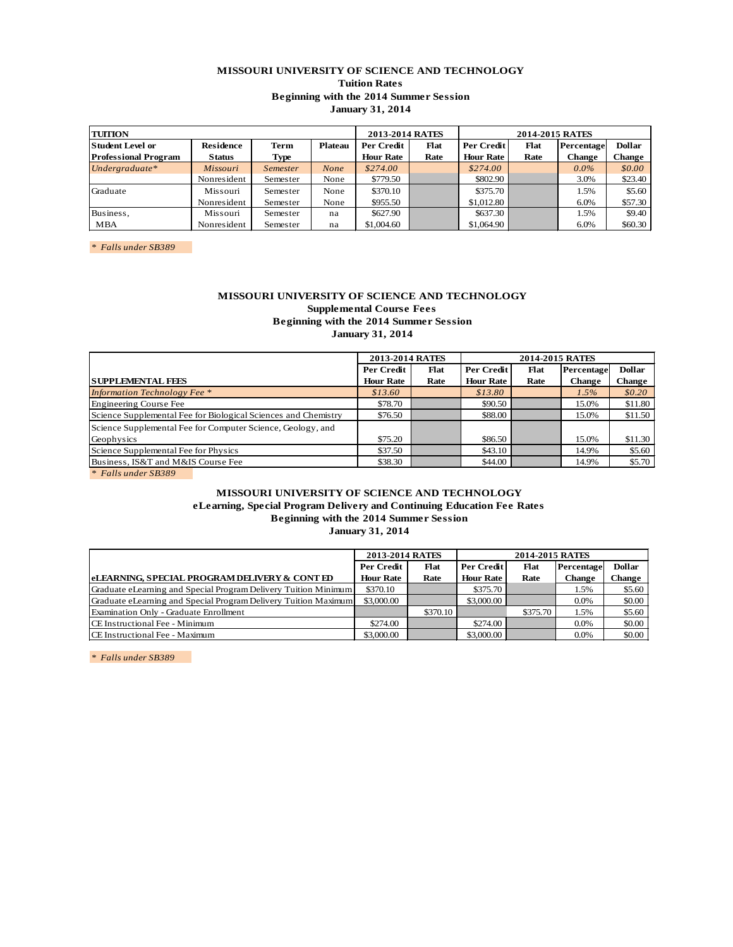### **MISSOURI UNIVERSITY OF SCIENCE AND TECHNOLOGY Tuition Rates Beginning with the 2014 Summer Session January 31, 2014**

| <b>TUITION</b>                               |                 |                 |            | 2013-2014 RATES  |            |                  |            |         |         |
|----------------------------------------------|-----------------|-----------------|------------|------------------|------------|------------------|------------|---------|---------|
| <b>Student Level or</b><br>Residence<br>Term |                 | <b>Plateau</b>  | Per Credit | Flat             | Per Credit | Flat             | Percentage | Dollar  |         |
| <b>Professional Program</b>                  | <b>Status</b>   | Type            |            | <b>Hour Rate</b> | Rate       | <b>Hour Rate</b> | Rate       | Change  | Change  |
| $Under graduate$ *                           | <b>Missouri</b> | <i>Semester</i> | None       | \$274.00         |            | \$274.00         |            | $0.0\%$ | \$0.00  |
|                                              | Nonresident     | Semester        | None       | \$779.50         |            | \$802.90         |            | 3.0%    | \$23.40 |
| Graduate                                     | Missouri        | Semester        | None       | \$370.10         |            | \$375.70         |            | 1.5%    | \$5.60  |
|                                              | Nonresident     | Semester        | None       | \$955.50         |            | \$1,012.80       |            | 6.0%    | \$57.30 |
| Business,                                    | Missouri        | Semester        | na         | \$627.90         |            | \$637.30         |            | 1.5%    | \$9.40  |
| <b>MBA</b>                                   | Nonresident     | Semester        | na         | \$1,004.60       |            | \$1,064.90       |            | 6.0%    | \$60.30 |

*\* Falls under SB389* 

### **MISSOURI UNIVERSITY OF SCIENCE AND TECHNOLOGY Supplemental Course Fees Beginning with the 2014 Summer Session January 31, 2014**

|                                                                | 2013-2014 RATES  |      |                  | 2014-2015 RATES |               |               |
|----------------------------------------------------------------|------------------|------|------------------|-----------------|---------------|---------------|
|                                                                | Per Credit       | Flat | Per Credit       | Flat            | Percentage    | <b>Dollar</b> |
| <b>SUPPLEMENTAL FEES</b>                                       | <b>Hour Rate</b> | Rate | <b>Hour Rate</b> | Rate            | <b>Change</b> | Change        |
| <b>Information Technology Fee</b> *                            | \$13.60          |      | \$13.80          |                 | $1.5\%$       | \$0.20        |
| Engineering Course Fee                                         | \$78.70          |      | \$90.50          |                 | 15.0%         | \$11.80       |
| Science Supplemental Fee for Biological Sciences and Chemistry | \$76.50          |      | \$88.00          |                 | 15.0%         | \$11.50       |
| Science Supplemental Fee for Computer Science, Geology, and    |                  |      |                  |                 |               |               |
| Geophysics                                                     | \$75.20          |      | \$86.50          |                 | 15.0%         | \$11.30       |
| Science Supplemental Fee for Physics                           | \$37.50          |      | \$43.10          |                 | 14.9%         | \$5.60        |
| Business, IS&T and M&IS Course Fee                             | \$38.30          |      | \$44.00          |                 | 14.9%         | \$5.70        |

#### *\* Falls under SB389*

# **MISSOURI UNIVERSITY OF SCIENCE AND TECHNOLOGY eLearning, Special Program Delivery and Continuing Education Fee Rates Beginning with the 2014 Summer Session January 31, 2014**

|                                                                 | <b>2013-2014 RATES</b> |          | 2014-2015 RATES                         |          |         |               |  |
|-----------------------------------------------------------------|------------------------|----------|-----------------------------------------|----------|---------|---------------|--|
|                                                                 | <b>Per Credit</b>      | Flat     | <b>Per Credit</b><br>Flat<br>Percentage |          |         | <b>Dollar</b> |  |
| <b>eLEARNING, SPECIAL PROGRAM DELIVERY &amp; CONT ED</b>        | <b>Hour Rate</b>       | Rate     | <b>Hour Rate</b>                        | Rate     | Change  | Change        |  |
| Graduate eLearning and Special Program Delivery Tuition Minimum | \$370.10               |          | \$375.70                                |          | 1.5%    | \$5.60        |  |
| Graduate eLearning and Special Program Delivery Tuition Maximum | \$3,000.00             |          | \$3,000.00                              |          | $0.0\%$ | \$0.00        |  |
| Examination Only - Graduate Enrollment                          |                        | \$370.10 |                                         | \$375.70 | 1.5%    | \$5.60        |  |
| CE Instructional Fee - Minimum                                  | \$274.00               |          | \$274.00                                |          | 0.0%    | \$0.00        |  |
| CE Instructional Fee - Maximum                                  | \$3,000.00             |          | \$3,000.00                              |          | 0.0%    | \$0.00        |  |

*\* Falls under SB389*